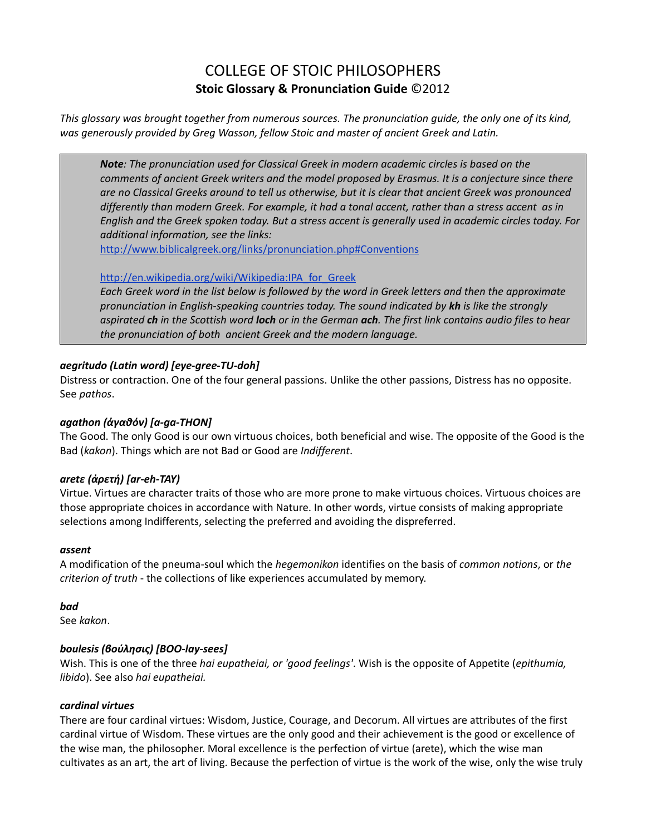# COLLEGE OF STOIC PHILOSOPHERS **Stoic Glossary & Pronunciation Guide** ©2012

*This glossary was brought together from numerous sources. The pronunciation guide, the only one of its kind, was generously provided by Greg Wasson, fellow Stoic and master of ancient Greek and Latin.*

*Note: The pronunciation used for Classical Greek in modern academic circles is based on the comments of ancient Greek writers and the model proposed by Erasmus. It is a conjecture since there are no Classical Greeks around to tell us otherwise, but it is clear that ancient Greek was pronounced differently than modern Greek. For example, it had a tonal accent, rather than a stress accent as in English and the Greek spoken today. But a stress accent is generally used in academic circles today. For additional information, see the links:*

<http://www.biblicalgreek.org/links/pronunciation.php#Conventions>

### http://en.wikipedia.org/wiki/Wikipedia:IPA for Greek

*Each Greek word in the list below is followed by the word in Greek letters and then the approximate pronunciation in English-speaking countries today. The sound indicated by kh is like the strongly aspirated ch in the Scottish word loch or in the German ach. The first link contains audio files to hear the pronunciation of both ancient Greek and the modern language.*

# *aegritudo (Latin word) [eye-gree-TU-doh]*

Distress or contraction. One of the four general passions. Unlike the other passions, Distress has no opposite. See *pathos*.

### *agathon (ἀγαθόν) [a-ga-THON]*

The Good. The only Good is our own virtuous choices, both beneficial and wise. The opposite of the Good is the Bad (*kakon*). Things which are not Bad or Good are *Indifferent*.

### *aretε (ἀρετή) [ar-eh-TAY)*

Virtue. Virtues are character traits of those who are more prone to make virtuous choices. Virtuous choices are those appropriate choices in accordance with Nature. In other words, virtue consists of making appropriate selections among Indifferents, selecting the preferred and avoiding the dispreferred.

### *assent*

A modification of the pneuma-soul which the *hegemonikon* identifies on the basis of *common notions*, or *the criterion of truth* - the collections of like experiences accumulated by memory.

### *bad*

See *kakon*.

### *boulesis (βούλησις) [BOO-lay-sees]*

Wish. This is one of the three *hai eupatheiai, or 'good feelings'*. Wish is the opposite of Appetite (*epithumia, libido*). See also *hai eupatheiai.*

### *cardinal virtues*

There are four cardinal virtues: Wisdom, Justice, Courage, and Decorum. All virtues are attributes of the first cardinal virtue of Wisdom. These virtues are the only good and their achievement is the good or excellence of the wise man, the philosopher. Moral excellence is the perfection of virtue (arete), which the wise man cultivates as an art, the art of living. Because the perfection of virtue is the work of the wise, only the wise truly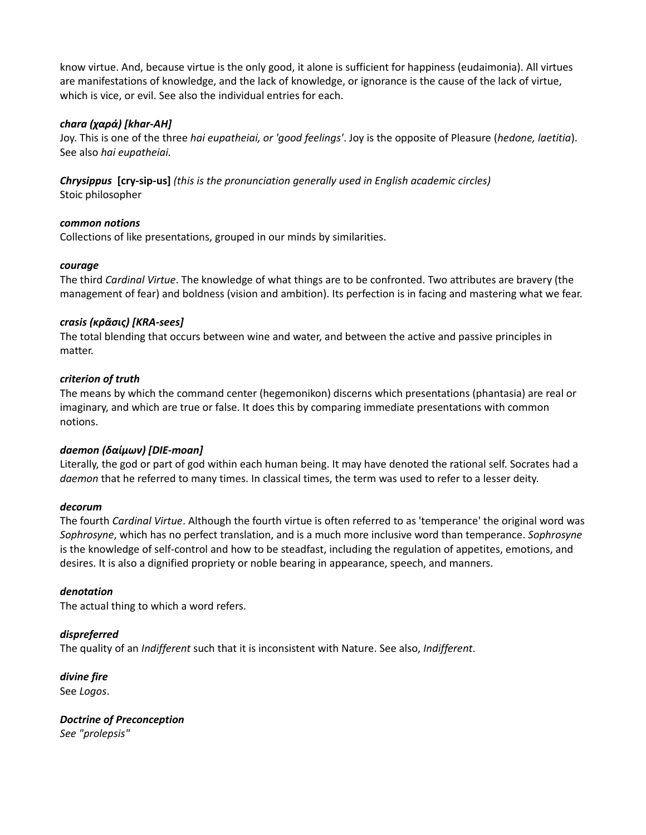know virtue. And, because virtue is the only good, it alone is sufficient for happiness (eudaimonia). All virtues are manifestations of knowledge, and the lack of knowledge, or ignorance is the cause of the lack of virtue, which is vice, or evil. See also the individual entries for each.

### *chara (χαρά) [khar-AH]*

Joy. This is one of the three *hai eupatheiai, or 'good feelings'*. Joy is the opposite of Pleasure (*hedone, laetitia*). See also *hai eupatheiai.*

*Chrysippus* **[cry-sip-us]** *(this is the pronunciation generally used in English academic circles)* Stoic philosopher

### *common notions*

Collections of like presentations, grouped in our minds by similarities.

### *courage*

The third *Cardinal Virtue*. The knowledge of what things are to be confronted. Two attributes are bravery (the management of fear) and boldness (vision and ambition). Its perfection is in facing and mastering what we fear.

### *crasis (κρᾶσις) [KRA-sees]*

The total blending that occurs between wine and water, and between the active and passive principles in matter.

### *criterion of truth*

The means by which the command center (hegemonikon) discerns which presentations (phantasia) are real or imaginary, and which are true or false. It does this by comparing immediate presentations with common notions.

### *daemon (δαίμων) [DIE-moan]*

Literally, the god or part of god within each human being. It may have denoted the rational self. Socrates had a *daemon* that he referred to many times. In classical times, the term was used to refer to a lesser deity.

### *decorum*

The fourth *Cardinal Virtue*. Although the fourth virtue is often referred to as 'temperance' the original word was *Sophrosyne*, which has no perfect translation, and is a much more inclusive word than temperance. *Sophrosyne* is the knowledge of self-control and how to be steadfast, including the regulation of appetites, emotions, and desires. It is also a dignified propriety or noble bearing in appearance, speech, and manners.

### *denotation*

The actual thing to which a word refers.

# *dispreferred*

The quality of an *Indifferent* such that it is inconsistent with Nature. See also, *Indifferent*.

*divine fire* See *Logos*.

*Doctrine of Preconception See "prolepsis"*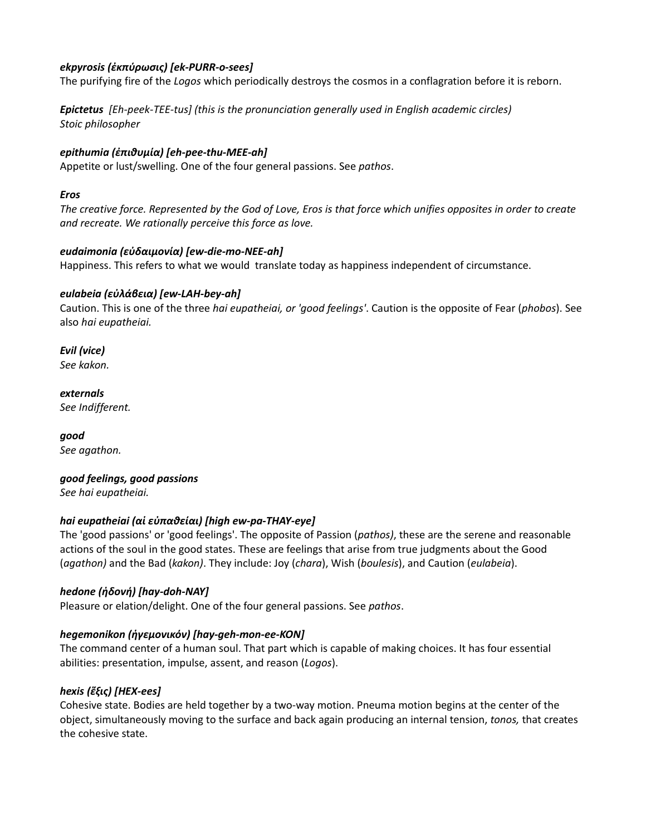# *ekpyrosis (ἐκπύρωσις) [ek-PURR-o-sees]*

The purifying fire of the *Logos* which periodically destroys the cosmos in a conflagration before it is reborn.

*Epictetus [Eh-peek-TEE-tus] (this is the pronunciation generally used in English academic circles) Stoic philosopher* 

### *epithumia (ἐπιθυμία) [eh-pee-thu-MEE-ah]*

Appetite or lust/swelling. One of the four general passions. See *pathos*.

#### *Eros*

*The creative force. Represented by the God of Love, Eros is that force which unifies opposites in order to create and recreate. We rationally perceive this force as love.*

### *eudaimonia (εὐδαιμονία) [ew-die-mo-NEE-ah]*

Happiness. This refers to what we would translate today as happiness independent of circumstance.

### *eulabeia (εὐλάβεια) [ew-LAH-bey-ah]*

Caution. This is one of the three *hai eupatheiai, or 'good feelings'*. Caution is the opposite of Fear (*phobos*). See also *hai eupatheiai.*

*Evil (vice) See kakon.*

*externals See Indifferent.*

*good See agathon.*

*good feelings, good passions See hai eupatheiai.*

### *hai eupatheiai (αἱ εὐπαθείαι) [high ew-pa-THAY-eye]*

The 'good passions' or 'good feelings'. The opposite of Passion (*pathos)*, these are the serene and reasonable actions of the soul in the good states. These are feelings that arise from true judgments about the Good (*agathon)* and the Bad (*kakon)*. They include: Joy (*chara*), Wish (*boulesis*), and Caution (*eulabeia*).

### *hedone (ἡδονή) [hay-doh-NAY]*

Pleasure or elation/delight. One of the four general passions. See *pathos*.

# *hegemonikon (ἡγεμονικόν) [hay-geh-mon-ee-KON]*

The command center of a human soul. That part which is capable of making choices. It has four essential abilities: presentation, impulse, assent, and reason (*Logos*).

### *hexis (ἕξις) [HEX-ees]*

Cohesive state. Bodies are held together by a two-way motion. Pneuma motion begins at the center of the object, simultaneously moving to the surface and back again producing an internal tension, *tonos,* that creates the cohesive state.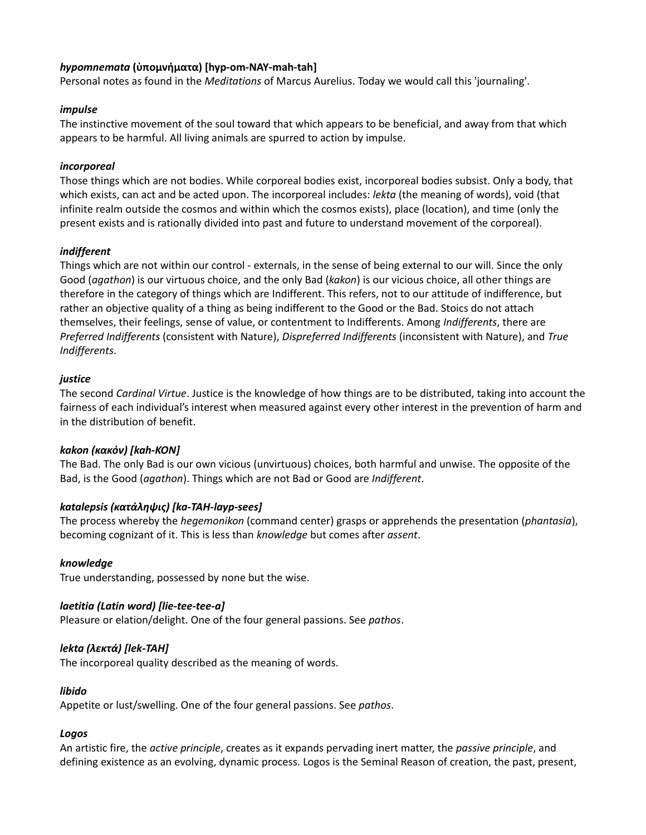# *hypomnemata* **(ὑπομνήματα) [hyp-om-NAY-mah-tah]**

Personal notes as found in the *Meditations* of Marcus Aurelius. Today we would call this 'journaling'.

### *impulse*

The instinctive movement of the soul toward that which appears to be beneficial, and away from that which appears to be harmful. All living animals are spurred to action by impulse.

### *incorporeal*

Those things which are not bodies. While corporeal bodies exist, incorporeal bodies subsist. Only a body, that which exists, can act and be acted upon. The incorporeal includes: *lekta* (the meaning of words), void (that infinite realm outside the cosmos and within which the cosmos exists), place (location), and time (only the present exists and is rationally divided into past and future to understand movement of the corporeal).

### *indifferent*

Things which are not within our control - externals, in the sense of being external to our will. Since the only Good (*agathon*) is our virtuous choice, and the only Bad (*kakon*) is our vicious choice, all other things are therefore in the category of things which are Indifferent. This refers, not to our attitude of indifference, but rather an objective quality of a thing as being indifferent to the Good or the Bad. Stoics do not attach themselves, their feelings, sense of value, or contentment to Indifferents. Among *Indifferents*, there are *Preferred Indifferents* (consistent with Nature), *Dispreferred Indifferents* (inconsistent with Nature), and *True Indifferents*.

### *justice*

The second *Cardinal Virtue*. Justice is the knowledge of how things are to be distributed, taking into account the fairness of each individual's interest when measured against every other interest in the prevention of harm and in the distribution of benefit.

### *kakon (κακόν) [kah-KON]*

The Bad. The only Bad is our own vicious (unvirtuous) choices, both harmful and unwise. The opposite of the Bad, is the Good (*agathon*). Things which are not Bad or Good are *Indifferent*.

# *katalepsis (κατάληψις) [ka-TAH-layp-sees]*

The process whereby the *hegemonikon* (command center) grasps or apprehends the presentation (*phantasia*), becoming cognizant of it. This is less than *knowledge* but comes after *assent*.

# *knowledge*

True understanding, possessed by none but the wise.

# *laetitia (Latin word) [lie-tee-tee-a]*

Pleasure or elation/delight. One of the four general passions. See *pathos*.

# *lekta (λεκτά) [lek-TAH]*

The incorporeal quality described as the meaning of words.

### *libido*

Appetite or lust/swelling. One of the four general passions. See *pathos*.

### *Logos*

An artistic fire, the *active principle*, creates as it expands pervading inert matter, the *passive principle*, and defining existence as an evolving, dynamic process. Logos is the Seminal Reason of creation, the past, present,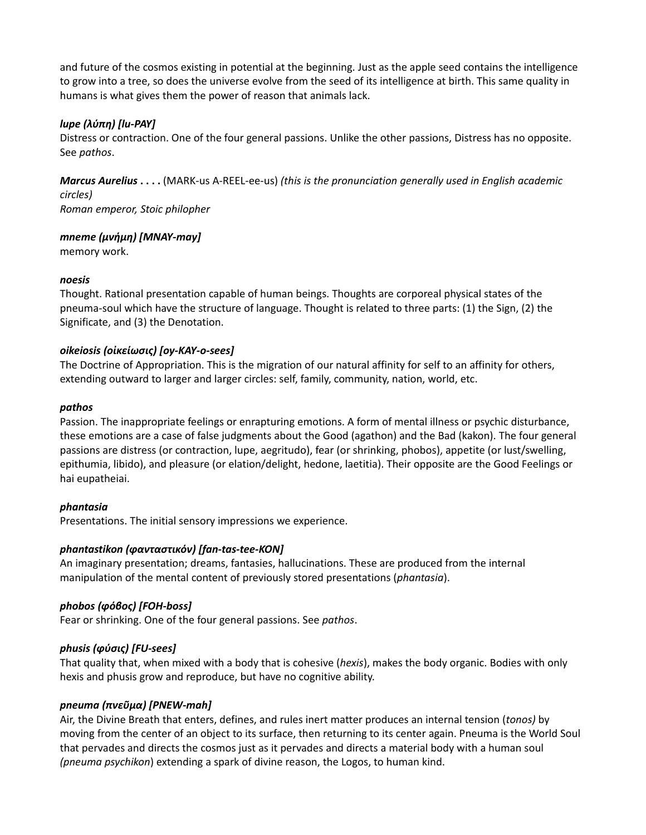and future of the cosmos existing in potential at the beginning. Just as the apple seed contains the intelligence to grow into a tree, so does the universe evolve from the seed of its intelligence at birth. This same quality in humans is what gives them the power of reason that animals lack.

### *lupe (λύπη) [lu-PAY]*

Distress or contraction. One of the four general passions. Unlike the other passions, Distress has no opposite. See *pathos*.

*Marcus Aurelius* **. . . .** (MARK-us A-REEL-ee-us) *(this is the pronunciation generally used in English academic circles) Roman emperor, Stoic philopher*

*mneme (μνήμη) [MNAY-may]*

memory work.

#### *noesis*

Thought. Rational presentation capable of human beings. Thoughts are corporeal physical states of the pneuma-soul which have the structure of language. Thought is related to three parts: (1) the Sign, (2) the Significate, and (3) the Denotation.

#### *oikeiosis (οἰκείωσις) [oy-KAY-o-sees]*

The Doctrine of Appropriation. This is the migration of our natural affinity for self to an affinity for others, extending outward to larger and larger circles: self, family, community, nation, world, etc.

#### *pathos*

Passion. The inappropriate feelings or enrapturing emotions. A form of mental illness or psychic disturbance, these emotions are a case of false judgments about the Good (agathon) and the Bad (kakon). The four general passions are distress (or contraction, lupe, aegritudo), fear (or shrinking, phobos), appetite (or lust/swelling, epithumia, libido), and pleasure (or elation/delight, hedone, laetitia). Their opposite are the Good Feelings or hai eupatheiai.

### *phantasia*

Presentations. The initial sensory impressions we experience.

### *phantastikon (φανταστικόν) [fan-tas-tee-KON]*

An imaginary presentation; dreams, fantasies, hallucinations. These are produced from the internal manipulation of the mental content of previously stored presentations (*phantasia*).

### *phobos (φόβος) [FOH-boss]*

Fear or shrinking. One of the four general passions. See *pathos*.

### *phusis (φύσις) [FU-sees]*

That quality that, when mixed with a body that is cohesive (*hexis*), makes the body organic. Bodies with only hexis and phusis grow and reproduce, but have no cognitive ability.

### *pneuma (πνεῦμα) [PNEW-mah]*

Air, the Divine Breath that enters, defines, and rules inert matter produces an internal tension (*tonos)* by moving from the center of an object to its surface, then returning to its center again. Pneuma is the World Soul that pervades and directs the cosmos just as it pervades and directs a material body with a human soul *(pneuma psychikon*) extending a spark of divine reason, the Logos, to human kind.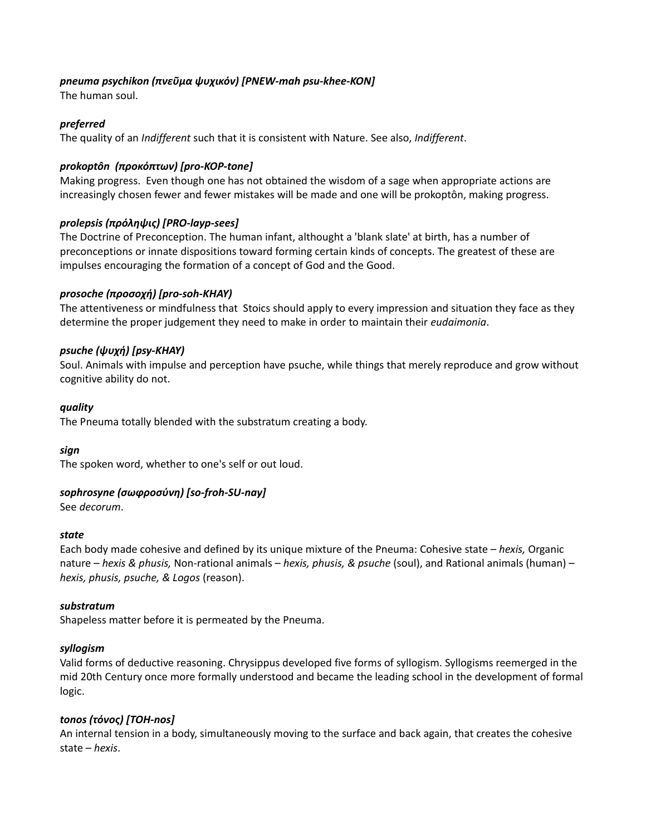### *pneuma psychikon (πνεῦμα ψυχικόν) [PNEW-mah psu-khee-KON]*

The human soul.

### *preferred*

The quality of an *Indifferent* such that it is consistent with Nature. See also, *Indifferent*.

### *prokoptôn (προκόπτων) [pro-KOP-tone]*

Making progress. Even though one has not obtained the wisdom of a sage when appropriate actions are increasingly chosen fewer and fewer mistakes will be made and one will be prokoptôn, making progress.

### *prolepsis (πρόληψις) [PRO-layp-sees]*

The Doctrine of Preconception. The human infant, althought a 'blank slate' at birth, has a number of preconceptions or innate dispositions toward forming certain kinds of concepts. The greatest of these are impulses encouraging the formation of a concept of God and the Good.

### *prosoche (προσοχή) [pro-soh-KHAY)*

The attentiveness or mindfulness that Stoics should apply to every impression and situation they face as they determine the proper judgement they need to make in order to maintain their *eudaimonia*.

### *psuche (ψυχή) [psy-KHAY)*

Soul. Animals with impulse and perception have psuche, while things that merely reproduce and grow without cognitive ability do not.

### *quality*

The Pneuma totally blended with the substratum creating a body.

### *sign*

The spoken word, whether to one's self or out loud.

### *sophrosyne (σωφροσύνη) [so-froh-SU-nay]*

See *decorum*.

### *state*

Each body made cohesive and defined by its unique mixture of the Pneuma: Cohesive state – *hexis,* Organic nature – *hexis & phusis,* Non-rational animals – *hexis, phusis, & psuche* (soul), and Rational animals (human) – *hexis, phusis, psuche, & Logos* (reason).

### *substratum*

Shapeless matter before it is permeated by the Pneuma.

### *syllogism*

Valid forms of deductive reasoning. Chrysippus developed five forms of syllogism. Syllogisms reemerged in the mid 20th Century once more formally understood and became the leading school in the development of formal logic.

### *tonos (τόνος) [TOH-nos]*

An internal tension in a body, simultaneously moving to the surface and back again, that creates the cohesive state – *hexis*.